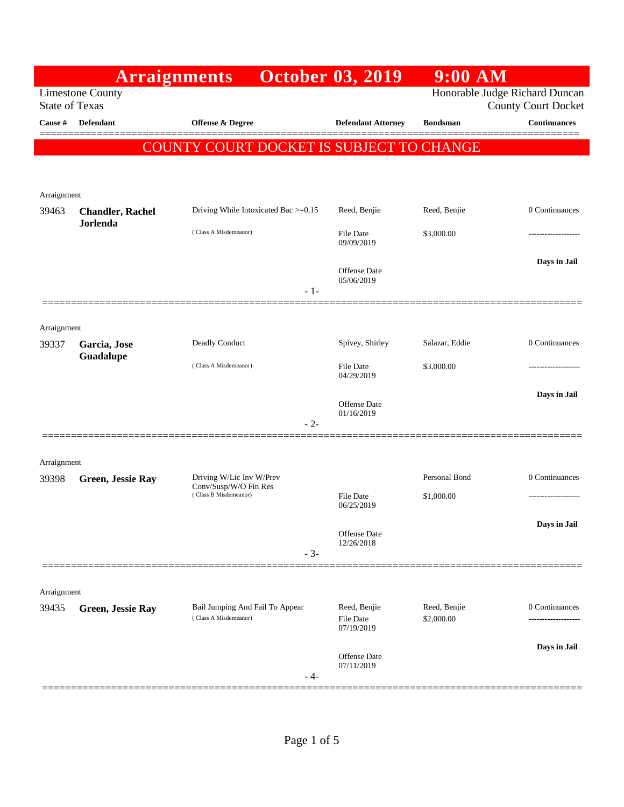|                                                  |                                            | <b>Arraignments</b>                                      | <b>October 03, 2019</b>        | $9:00$ AM                  |                                                              |
|--------------------------------------------------|--------------------------------------------|----------------------------------------------------------|--------------------------------|----------------------------|--------------------------------------------------------------|
| <b>Limestone County</b><br><b>State of Texas</b> |                                            |                                                          |                                |                            | Honorable Judge Richard Duncan<br><b>County Court Docket</b> |
| Cause #                                          | <b>Defendant</b>                           | Offense & Degree                                         | <b>Defendant Attorney</b>      | <b>Bondsman</b>            | <b>Continuances</b><br>======                                |
|                                                  |                                            | COUNTY COURT DOCKET IS SUBJECT TO CHANGE                 |                                |                            |                                                              |
|                                                  |                                            |                                                          |                                |                            |                                                              |
| Arraignment                                      |                                            |                                                          |                                |                            |                                                              |
| 39463                                            | <b>Chandler, Rachel</b><br><b>Jorlenda</b> | Driving While Intoxicated Bac >=0.15                     | Reed, Benjie                   | Reed, Benjie               | 0 Continuances                                               |
|                                                  |                                            | (Class A Misdemeanor)                                    | File Date<br>09/09/2019        | \$3,000.00                 | .                                                            |
|                                                  |                                            | $-1-$                                                    | Offense Date<br>05/06/2019     |                            | Days in Jail                                                 |
|                                                  |                                            |                                                          |                                |                            |                                                              |
| Arraignment                                      |                                            |                                                          |                                |                            |                                                              |
| 39337                                            | Garcia, Jose                               | Deadly Conduct                                           | Spivey, Shirley                | Salazar, Eddie             | 0 Continuances                                               |
|                                                  | Guadalupe                                  | (Class A Misdemeanor)                                    | <b>File Date</b><br>04/29/2019 | \$3,000.00                 |                                                              |
|                                                  |                                            |                                                          | <b>Offense Date</b>            |                            | Days in Jail                                                 |
|                                                  |                                            | $-2-$                                                    | 01/16/2019                     |                            |                                                              |
|                                                  |                                            |                                                          |                                |                            |                                                              |
| Arraignment<br>39398                             | Green, Jessie Ray                          | Driving W/Lic Inv W/Prev                                 |                                | Personal Bond              | 0 Continuances                                               |
|                                                  |                                            | Conv/Susp/W/O Fin Res<br>(Class B Misdemeanor)           | <b>File Date</b><br>06/25/2019 | \$1,000.00                 |                                                              |
|                                                  |                                            |                                                          |                                |                            | Days in Jail                                                 |
|                                                  |                                            |                                                          | Offense Date<br>12/26/2018     |                            |                                                              |
|                                                  |                                            | $-3-$                                                    |                                |                            |                                                              |
| Arraignment                                      |                                            |                                                          |                                |                            |                                                              |
| 39435                                            | Green, Jessie Ray                          | Bail Jumping And Fail To Appear<br>(Class A Misdemeanor) | Reed, Benjie<br>File Date      | Reed, Benjie<br>\$2,000.00 | 0 Continuances<br>.                                          |
|                                                  |                                            |                                                          | 07/19/2019                     |                            |                                                              |
|                                                  |                                            |                                                          | Offense Date<br>07/11/2019     |                            | Days in Jail                                                 |
|                                                  | =================                          | - 4-                                                     |                                |                            |                                                              |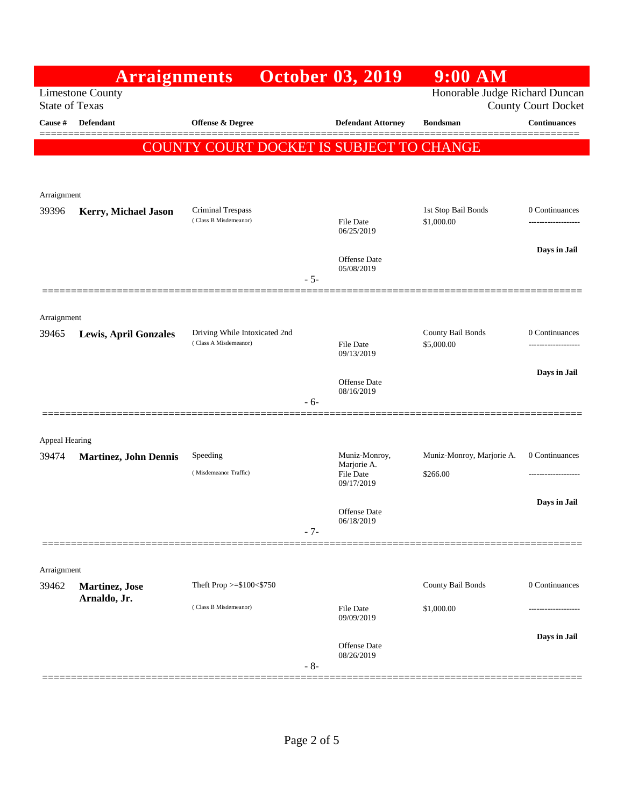|                       | <b>Arraignments</b>                    |                                                        |       | <b>October 03, 2019</b>           | 9:00 AM                         |                                      |
|-----------------------|----------------------------------------|--------------------------------------------------------|-------|-----------------------------------|---------------------------------|--------------------------------------|
| <b>State of Texas</b> | <b>Limestone County</b>                |                                                        |       |                                   | Honorable Judge Richard Duncan  | <b>County Court Docket</b>           |
| Cause #               | <b>Defendant</b>                       | Offense & Degree                                       |       | <b>Defendant Attorney</b>         | <b>Bondsman</b>                 | <b>Continuances</b>                  |
|                       |                                        | COUNTY COURT DOCKET IS SUBJECT TO CHANGE               |       |                                   |                                 |                                      |
|                       |                                        |                                                        |       |                                   |                                 |                                      |
| Arraignment           |                                        |                                                        |       |                                   |                                 |                                      |
| 39396                 | Kerry, Michael Jason                   | <b>Criminal Trespass</b>                               |       |                                   | 1st Stop Bail Bonds             | 0 Continuances                       |
|                       |                                        | (Class B Misdemeanor)                                  |       | <b>File Date</b><br>06/25/2019    | \$1,000.00                      |                                      |
|                       |                                        |                                                        |       | <b>Offense</b> Date               |                                 | Days in Jail                         |
|                       |                                        |                                                        | $-5-$ | 05/08/2019                        |                                 |                                      |
|                       |                                        |                                                        |       |                                   |                                 |                                      |
| Arraignment           |                                        |                                                        |       |                                   |                                 |                                      |
| 39465                 | <b>Lewis, April Gonzales</b>           | Driving While Intoxicated 2nd<br>(Class A Misdemeanor) |       | File Date                         | County Bail Bonds<br>\$5,000.00 | 0 Continuances<br>------------------ |
|                       |                                        |                                                        |       | 09/13/2019                        |                                 | Days in Jail                         |
|                       |                                        |                                                        |       | <b>Offense</b> Date<br>08/16/2019 |                                 |                                      |
|                       |                                        |                                                        | $-6-$ |                                   |                                 |                                      |
| Appeal Hearing        |                                        |                                                        |       |                                   |                                 |                                      |
| 39474                 | <b>Martinez, John Dennis</b>           | Speeding                                               |       | Muniz-Monroy,<br>Marjorie A.      | Muniz-Monroy, Marjorie A.       | 0 Continuances                       |
|                       |                                        | (Misdemeanor Traffic)                                  |       | File Date<br>09/17/2019           | \$266.00                        |                                      |
|                       |                                        |                                                        |       |                                   |                                 | Days in Jail                         |
|                       |                                        |                                                        | $-7-$ | Offense Date<br>06/18/2019        |                                 |                                      |
|                       |                                        |                                                        |       |                                   |                                 |                                      |
| Arraignment           |                                        |                                                        |       |                                   |                                 |                                      |
| 39462                 | <b>Martinez</b> , Jose<br>Arnaldo, Jr. | Theft Prop $>=$ \$100 $<$ \$750                        |       |                                   | County Bail Bonds               | 0 Continuances                       |
|                       |                                        | (Class B Misdemeanor)                                  |       | <b>File Date</b><br>09/09/2019    | \$1,000.00                      |                                      |
|                       |                                        |                                                        |       |                                   |                                 | Days in Jail                         |
|                       |                                        |                                                        |       | <b>Offense</b> Date<br>08/26/2019 |                                 |                                      |
|                       |                                        |                                                        | $-8-$ |                                   |                                 |                                      |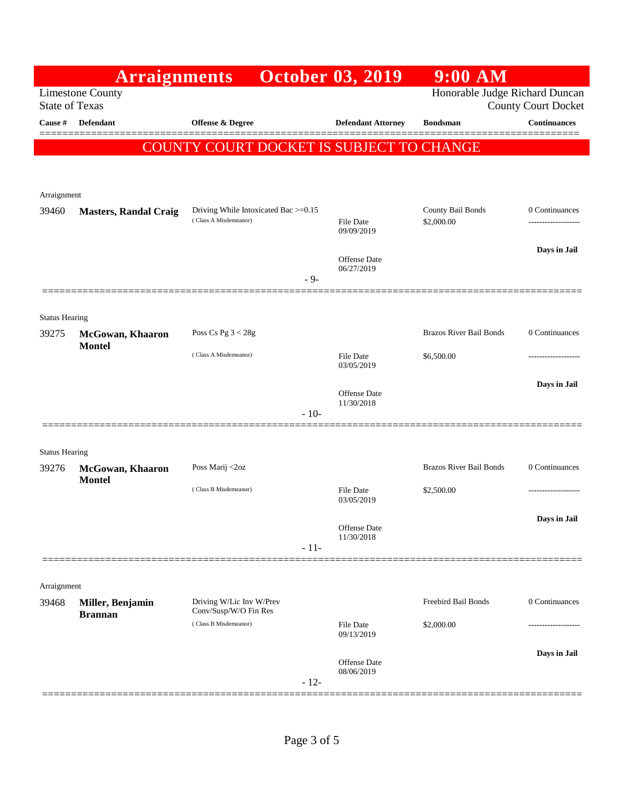|                                | <b>Arraignments</b>                |                                                               | <b>October 03, 2019</b>        | $9:00$ AM                       |                                       |
|--------------------------------|------------------------------------|---------------------------------------------------------------|--------------------------------|---------------------------------|---------------------------------------|
| <b>State of Texas</b>          | <b>Limestone County</b>            |                                                               |                                | Honorable Judge Richard Duncan  | <b>County Court Docket</b>            |
| Cause #                        | <b>Defendant</b>                   | Offense & Degree                                              | <b>Defendant Attorney</b>      | <b>Bondsman</b>                 | <b>Continuances</b>                   |
|                                |                                    | COUNTY COURT DOCKET IS SUBJECT TO CHANGE                      |                                |                                 |                                       |
|                                |                                    |                                                               |                                |                                 |                                       |
| Arraignment                    |                                    |                                                               |                                |                                 |                                       |
| 39460                          | <b>Masters, Randal Craig</b>       | Driving While Intoxicated Bac >=0.15<br>(Class A Misdemeanor) | <b>File Date</b><br>09/09/2019 | County Bail Bonds<br>\$2,000.00 | 0 Continuances<br>------------------- |
|                                |                                    |                                                               | <b>Offense Date</b>            |                                 | Days in Jail                          |
|                                |                                    | $-9-$                                                         | 06/27/2019                     |                                 |                                       |
|                                |                                    |                                                               |                                |                                 |                                       |
| <b>Status Hearing</b><br>39275 | McGowan, Khaaron                   | Poss Cs Pg $3 < 28g$                                          |                                | <b>Brazos River Bail Bonds</b>  | 0 Continuances                        |
|                                | <b>Montel</b>                      | (Class A Misdemeanor)                                         | File Date<br>03/05/2019        | \$6,500.00                      | ---------------                       |
|                                |                                    |                                                               | Offense Date                   |                                 | Days in Jail                          |
|                                |                                    | $-10-$                                                        | 11/30/2018                     |                                 |                                       |
|                                |                                    |                                                               |                                |                                 |                                       |
| <b>Status Hearing</b><br>39276 | McGowan, Khaaron                   | Poss Marij <2oz                                               |                                | <b>Brazos River Bail Bonds</b>  | 0 Continuances                        |
|                                | <b>Montel</b>                      | (Class B Misdemeanor)                                         | File Date<br>03/05/2019        | \$2,500.00                      |                                       |
|                                |                                    |                                                               | Offense Date<br>11/30/2018     |                                 | Days in Jail                          |
|                                |                                    | $-11-$                                                        |                                |                                 |                                       |
| Arraignment                    |                                    |                                                               |                                |                                 |                                       |
| 39468                          | Miller, Benjamin<br><b>Brannan</b> | Driving W/Lic Inv W/Prev<br>Conv/Susp/W/O Fin Res             |                                | Freebird Bail Bonds             | 0 Continuances                        |
|                                |                                    | (Class B Misdemeanor)                                         | File Date<br>09/13/2019        | \$2,000.00                      |                                       |
|                                |                                    | $-12-$                                                        | Offense Date<br>08/06/2019     |                                 | Days in Jail                          |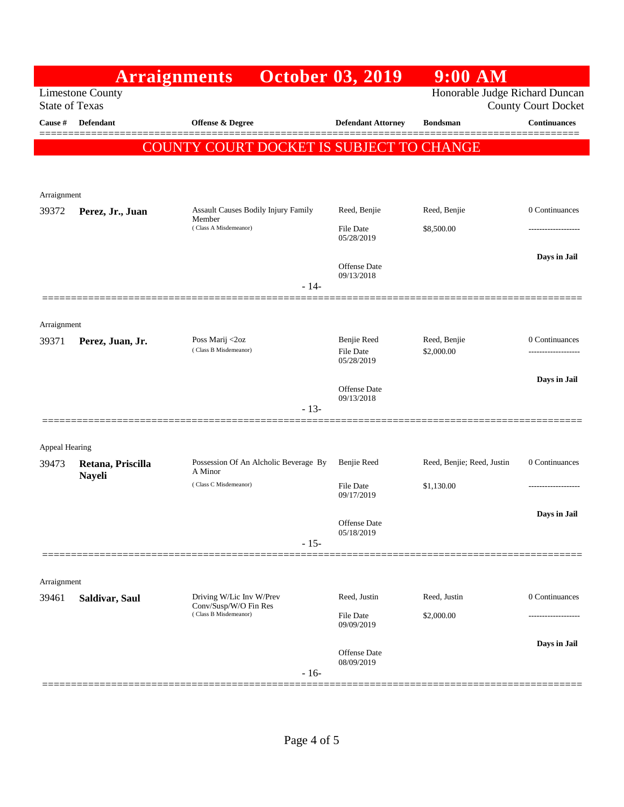|                         |                         | <b>Arraignments</b>                               | <b>October 03, 2019</b>        | $9:00$ AM                      |                            |
|-------------------------|-------------------------|---------------------------------------------------|--------------------------------|--------------------------------|----------------------------|
| <b>State of Texas</b>   | <b>Limestone County</b> |                                                   |                                | Honorable Judge Richard Duncan | <b>County Court Docket</b> |
| Cause #                 | <b>Defendant</b>        | <b>Offense &amp; Degree</b>                       | <b>Defendant Attorney</b>      | <b>Bondsman</b>                | <b>Continuances</b>        |
|                         |                         | COUNTY COURT DOCKET IS SUBJECT TO CHANGE          |                                |                                |                            |
|                         |                         |                                                   |                                |                                |                            |
| Arraignment             |                         |                                                   |                                |                                |                            |
| 39372                   | Perez, Jr., Juan        | <b>Assault Causes Bodily Injury Family</b>        | Reed, Benjie                   | Reed, Benjie                   | 0 Continuances             |
|                         |                         | Member<br>(Class A Misdemeanor)                   | <b>File Date</b><br>05/28/2019 | \$8,500.00                     |                            |
|                         |                         |                                                   | Offense Date                   |                                | Days in Jail               |
|                         |                         | $-14-$                                            | 09/13/2018                     |                                |                            |
|                         |                         |                                                   |                                |                                |                            |
| Arraignment<br>39371    | Perez, Juan, Jr.        | Poss Marij <2oz                                   | Benjie Reed                    | Reed, Benjie                   | 0 Continuances             |
|                         |                         | (Class B Misdemeanor)                             | <b>File Date</b><br>05/28/2019 | \$2,000.00                     | .                          |
|                         |                         |                                                   | <b>Offense</b> Date            |                                | Days in Jail               |
|                         |                         | $-13-$                                            | 09/13/2018                     |                                |                            |
|                         |                         |                                                   |                                |                                |                            |
| Appeal Hearing<br>39473 | Retana, Priscilla       | Possession Of An Alcholic Beverage By             | Benjie Reed                    | Reed, Benjie; Reed, Justin     | 0 Continuances             |
|                         | <b>Nayeli</b>           | A Minor<br>(Class C Misdemeanor)                  | <b>File Date</b><br>09/17/2019 | \$1,130.00                     |                            |
|                         |                         |                                                   |                                |                                | Days in Jail               |
|                         |                         |                                                   | Offense Date<br>05/18/2019     |                                |                            |
|                         |                         | $-15-$                                            |                                |                                |                            |
| Arraignment             |                         |                                                   |                                |                                |                            |
| 39461                   | Saldivar, Saul          | Driving W/Lic Inv W/Prev<br>Conv/Susp/W/O Fin Res | Reed, Justin                   | Reed, Justin                   | 0 Continuances             |
|                         |                         | (Class B Misdemeanor)                             | <b>File Date</b><br>09/09/2019 | \$2,000.00                     |                            |
|                         |                         | $-16-$                                            | Offense Date<br>08/09/2019     |                                | Days in Jail               |